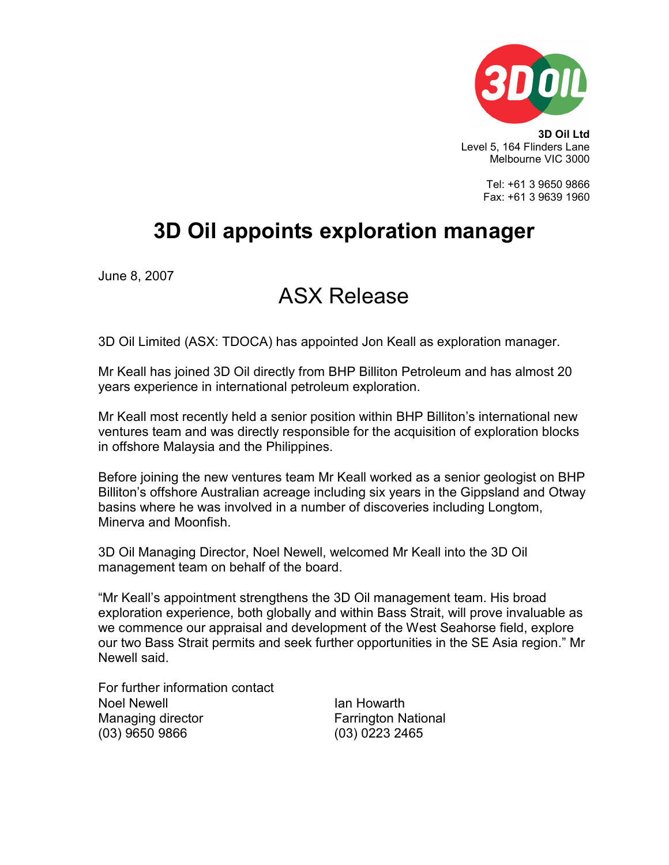

3D Oil Ltd Level 5, 164 Flinders Lane Melbourne VIC 3000

> Tel: +61 3 9650 9866 Fax: +61 3 9639 1960

## 3D Oil appoints exploration manager

June 8, 2007

## ASX Release

3D Oil Limited (ASX: TDOCA) has appointed Jon Keall as exploration manager.

Mr Keall has joined 3D Oil directly from BHP Billiton Petroleum and has almost 20 years experience in international petroleum exploration.

Mr Keall most recently held a senior position within BHP Billiton's international new ventures team and was directly responsible for the acquisition of exploration blocks in offshore Malaysia and the Philippines.

Before joining the new ventures team Mr Keall worked as a senior geologist on BHP Billiton's offshore Australian acreage including six years in the Gippsland and Otway basins where he was involved in a number of discoveries including Longtom, Minerva and Moonfish.

3D Oil Managing Director, Noel Newell, welcomed Mr Keall into the 3D Oil management team on behalf of the board.

"Mr Keall's appointment strengthens the 3D Oil management team. His broad exploration experience, both globally and within Bass Strait, will prove invaluable as we commence our appraisal and development of the West Seahorse field, explore our two Bass Strait permits and seek further opportunities in the SE Asia region." Mr Newell said.

For further information contact Noel Newell **Ian Howarth** Managing director **Farrington National** (03) 9650 9866 (03) 0223 2465